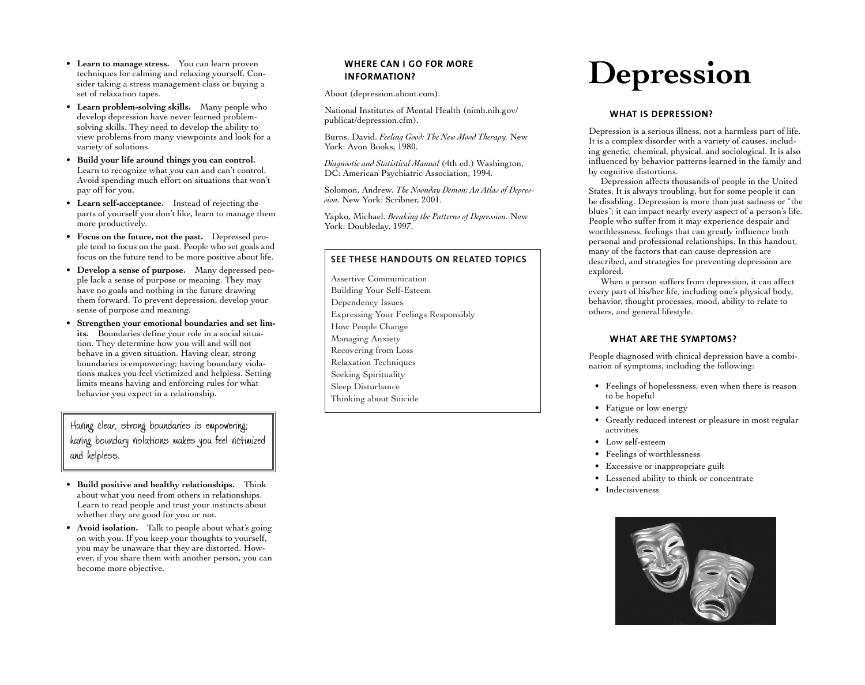- **Learn to manage stress.** You can learn proven techniques for calming and relaxing yourself. Consider taking a stress management class or buying a set of relaxation tapes.
- **Learn problem-solving skills.** Many people who develop depression have never learned problemsolving skills. They need to develop the ability to view problems from many viewpoints and look for a variety of solutions.
- **Build your life around things you can control.**  Learn to recognize what you can and can't control. Avoid spending much effort on situations that won't pay off for you.
- **Learn self-acceptance.** Instead of rejecting the parts of yourself you don't like, learn to manage them more productively.
- **Focus on the future, not the past.** Depressed peo<sup>p</sup>le tend to focus on the past. People who set goals and focus on the future tend to be more positive about life.
- **Develop a sense of purpose.** Many depressed peo<sup>p</sup>le lack a sense of purpose or meaning. They may have no goals and nothing in the future drawing them forward. To prevent depression, develop your sense of purpose and meaning.
- **Strengthen your emotional boundaries and set limits.** Boundaries define your role in a social situation. They determine how you will and will not behave in a given situation. Having clear, strong boundaries is empowering; having boundary violations makes you feel victimized and helpless. Setting limits means having and enforcing rules for what behavior you expect in a relationship.

Having clear, strong boundaries is empowering; having boundary violations makes you feel victimized and helpless.

- **Build positive and healthy relationships.** Think about what you need from others in relationships. Learn to read people and trust your instincts about whether they are good for you or not.
- **Avoid isolation.**  Talk to people about what's going on with you. If you keep your thoughts to yourself, you may be unaware that they are distorted. However, if you share them with another person, you can become more objective.

# **WHERE CAN I GO FOR MORE INFORMATION?**

About ([depression.about.com\)](https://depression.about.com).

National Institutes of Mental Health ([nimh.nih.gov/](https://nimh.nih.gov) publicat/depression.cfm).

Burns, David. *Feeling Good: The New Mood Therapy.* New York: Avon Books, 1980.

*Diagnostic and Statistical Manual* (4th ed.) Washington, DC: American Psychiatric Association, 1994.

Solomon, Andrew. *The Noonday Demon: An Atlas of Depression.* New York: Scribner, 2001.

Yapko, Michael. *Breaking the Patterns of Depression.* New York: Doubleday, 1997.

#### **SEE THESE HANDOUTS ON RELATED TOPICS**

Assertive Communication Building Your Self-Esteem Dependency Issues Expressing Your Feelings Responsibly How People Change Managing Anxiety Recovering from Loss Relaxation Techniques Seeking Spirituality Sleep Disturbance Thinking about Suicide

# **Depression**

#### **WHAT IS DEPRESSION?**

Depression is a serious illness, not a harmless part of life. It is a complex disorder with a variety of causes, including genetic, chemical, physical, and sociological. It is also influenced by behavior patterns learned in the family and by cognitive distortions.

Depression affects thousands of people in the United States. It is always troubling, but for some people it can be disabling. Depression is more than just sadness or "the blues"; it can impact nearly every aspect of a person's life. People who suffer from it may experience despair and worthlessness, feelings that can greatly influence both personal and professional relationships. In this handout, many of the factors that can cause depression are described, and strategies for preventing depression are explored.

When a person suffers from depression, it can affect every part of his/her life, including one's physical body, behavior, thought processes, mood, ability to relate to others, and general lifestyle.

#### **WHAT ARE THE SYMPTOMS?**

People diagnosed with clinical depression have a combination of symptoms, including the following:

- Feelings of hopelessness, even when there is reason to be hopeful
- Fatigue or low energy
- Greatly reduced interest or pleasure in most regular activities
- Low self-esteem
- Feelings of worthlessness
- Excessive or inappropriate guilt
- Lessened ability to think or concentrate
- Indecisiveness